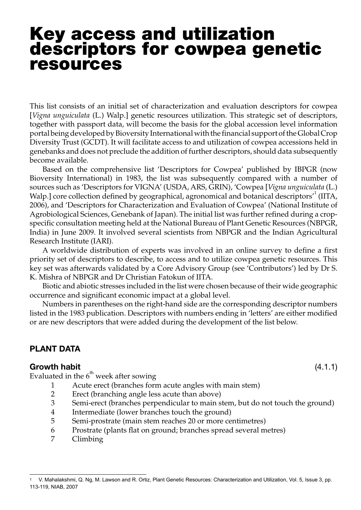# Key access and utilization descriptors for cowpea genetic resources

This list consists of an initial set of characterization and evaluation descriptors for cowpea [*Vigna unguiculata* (L.) Walp.] genetic resources utilization. This strategic set of descriptors, together with passport data, will become the basis for the global accession level information portal being developed by Bioversity International with the financial support of the Global Crop Diversity Trust (GCDT). It will facilitate access to and utilization of cowpea accessions held in genebanks and does not preclude the addition of further descriptors, should data subsequently become available.

Based on the comprehensive list 'Descriptors for Cowpea' published by IBPGR (now Bioversity International) in 1983, the list was subsequently compared with a number of sources such as 'Descriptors for VIGNA' (USDA, ARS, GRIN), 'Cowpea [*Vigna unguiculata* (L.) Walp.] core collection defined by geographical, agronomical and botanical descriptors<sup>1</sup> (IITA, 2006), and 'Descriptors for Characterization and Evaluation of Cowpea' (National Institute of Agrobiological Sciences, Genebank of Japan). The initial list was further refined during a cropspecific consultation meeting held at the National Bureau of Plant Genetic Resources (NBPGR, India) in June 2009. It involved several scientists from NBPGR and the Indian Agricultural Research Institute (IARI).

A worldwide distribution of experts was involved in an online survey to define a first priority set of descriptors to describe, to access and to utilize cowpea genetic resources. This key set was afterwards validated by a Core Advisory Group (see 'Contributors') led by Dr S. K. Mishra of NBPGR and Dr Christian Fatokun of IITA.

Biotic and abiotic stresses included in the list were chosen because of their wide geographic occurrence and significant economic impact at a global level.

Numbers in parentheses on the right-hand side are the corresponding descriptor numbers listed in the 1983 publication. Descriptors with numbers ending in 'letters' are either modified or are new descriptors that were added during the development of the list below.

## PLANT DATA

#### Growth habit (4.1.1)

Evaluated in the  $6<sup>th</sup>$  week after sowing

- 1 Acute erect (branches form acute angles with main stem)
- 2 Erect (branching angle less acute than above)
- 3 Semi-erect (branches perpendicular to main stem, but do not touch the ground)
- 4 Intermediate (lower branches touch the ground)
- 5 Semi-prostrate (main stem reaches 20 or more centimetres)
- 6 Prostrate (plants flat on ground; branches spread several metres)
- 7 Climbing

<sup>1</sup> V. Mahalakshmi, Q. Ng, M. Lawson and R. Ortiz, Plant Genetic Resources: Characterization and Utilization, Vol. 5, Issue 3, pp. 113-119, NIAB, 2007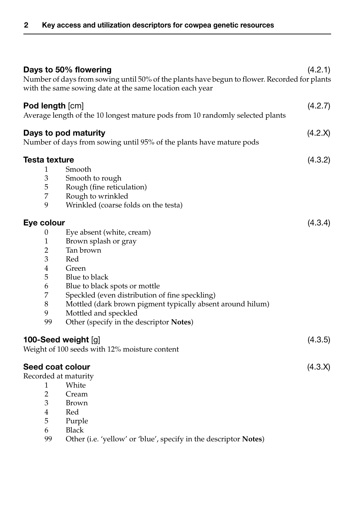|                                                                                                  | Days to 50% flowering<br>Number of days from sowing until 50% of the plants have begun to flower. Recorded for plants<br>with the same sowing date at the same location each year | (4.2.1) |
|--------------------------------------------------------------------------------------------------|-----------------------------------------------------------------------------------------------------------------------------------------------------------------------------------|---------|
| Pod length [cm]<br>Average length of the 10 longest mature pods from 10 randomly selected plants |                                                                                                                                                                                   | (4.2.7) |
| Days to pod maturity<br>Number of days from sowing until 95% of the plants have mature pods      |                                                                                                                                                                                   | (4.2.X) |
| Testa texture                                                                                    |                                                                                                                                                                                   | (4.3.2) |
| 1                                                                                                | Smooth                                                                                                                                                                            |         |
| $\mathfrak{Z}$                                                                                   | Smooth to rough                                                                                                                                                                   |         |
| 5                                                                                                | Rough (fine reticulation)                                                                                                                                                         |         |
| 7                                                                                                | Rough to wrinkled                                                                                                                                                                 |         |
| 9                                                                                                | Wrinkled (coarse folds on the testa)                                                                                                                                              |         |
| Eye colour                                                                                       |                                                                                                                                                                                   | (4.3.4) |
| $\boldsymbol{0}$                                                                                 | Eye absent (white, cream)                                                                                                                                                         |         |
| $\,1\,$                                                                                          | Brown splash or gray                                                                                                                                                              |         |
| $\overline{2}$                                                                                   | Tan brown                                                                                                                                                                         |         |
| 3                                                                                                | Red                                                                                                                                                                               |         |
| 4                                                                                                | Green                                                                                                                                                                             |         |
| 5                                                                                                | Blue to black                                                                                                                                                                     |         |
| 6                                                                                                | Blue to black spots or mottle                                                                                                                                                     |         |
| $\overline{7}$                                                                                   | Speckled (even distribution of fine speckling)                                                                                                                                    |         |
| $\,8\,$                                                                                          | Mottled (dark brown pigment typically absent around hilum)                                                                                                                        |         |
| 9                                                                                                | Mottled and speckled                                                                                                                                                              |         |
| 99                                                                                               | Other (specify in the descriptor Notes)                                                                                                                                           |         |
|                                                                                                  |                                                                                                                                                                                   |         |
| 100-Seed weight [g]                                                                              |                                                                                                                                                                                   | (4.3.5) |
|                                                                                                  | Weight of 100 seeds with 12% moisture content                                                                                                                                     |         |
| Seed coat colour                                                                                 |                                                                                                                                                                                   | (4.3.X) |
|                                                                                                  | Recorded at maturity                                                                                                                                                              |         |
| 1                                                                                                | White                                                                                                                                                                             |         |
| $\overline{2}$                                                                                   | Cream                                                                                                                                                                             |         |
| 3                                                                                                | Brown                                                                                                                                                                             |         |
| 4                                                                                                | Red                                                                                                                                                                               |         |
| 5                                                                                                | Purple                                                                                                                                                                            |         |
| 6                                                                                                | <b>Black</b>                                                                                                                                                                      |         |
| 99                                                                                               | Other (i.e. 'yellow' or 'blue', specify in the descriptor Notes)                                                                                                                  |         |
|                                                                                                  |                                                                                                                                                                                   |         |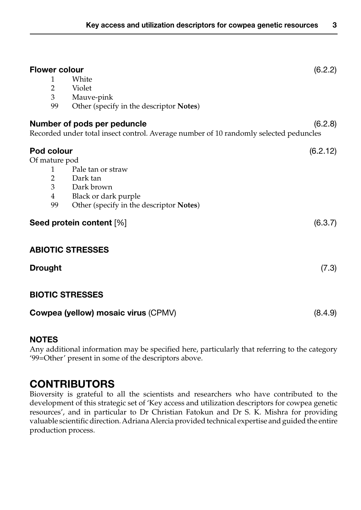| <b>Flower colour</b>                |                                                                                       | (6.2.2)  |
|-------------------------------------|---------------------------------------------------------------------------------------|----------|
| 1                                   | White                                                                                 |          |
| $\overline{2}$                      | Violet                                                                                |          |
| 3                                   | Mauve-pink                                                                            |          |
| 99                                  | Other (specify in the descriptor Notes)                                               |          |
|                                     | Number of pods per peduncle                                                           | (6.2.8)  |
|                                     | Recorded under total insect control. Average number of 10 randomly selected peduncles |          |
| Pod colour                          |                                                                                       | (6.2.12) |
| Of mature pod                       |                                                                                       |          |
| 1                                   | Pale tan or straw                                                                     |          |
| $\overline{2}$                      | Dark tan                                                                              |          |
| $\overline{3}$                      | Dark brown                                                                            |          |
| $\overline{4}$                      | Black or dark purple                                                                  |          |
| 99                                  | Other (specify in the descriptor Notes)                                               |          |
| Seed protein content [%]            |                                                                                       | (6.3.7)  |
|                                     | <b>ABIOTIC STRESSES</b>                                                               |          |
| <b>Drought</b>                      |                                                                                       | (7.3)    |
|                                     | <b>BIOTIC STRESSES</b>                                                                |          |
| Cowpea (yellow) mosaic virus (CPMV) |                                                                                       | (8.4.9)  |

## NOTES

Any additional information may be specified here, particularly that referring to the category '99=Other' present in some of the descriptors above.

# **CONTRIBUTORS**

Bioversity is grateful to all the scientists and researchers who have contributed to the development of this strategic set of 'Key access and utilization descriptors for cowpea genetic resources', and in particular to Dr Christian Fatokun and Dr S. K. Mishra for providing valuable scientific direction. Adriana Alercia provided technical expertise and guided the entire production process.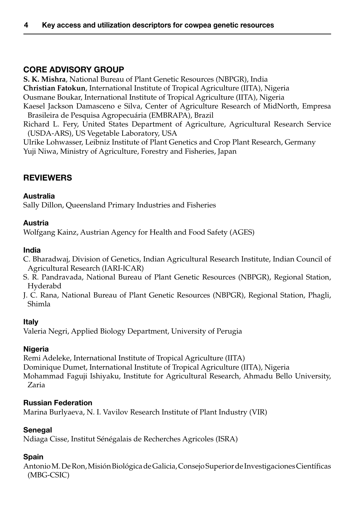# Core Advisory Group

**S. K. Mishra**, National Bureau of Plant Genetic Resources (NBPGR), India **Christian Fatokun**, International Institute of Tropical Agriculture (IITA), Nigeria Ousmane Boukar, International Institute of Tropical Agriculture (IITA), Nigeria Kaesel Jackson Damasceno e Silva, Center of Agriculture Research of MidNorth, Empresa Brasileira de Pesquisa Agropecuária (EMBRAPA), Brazil Richard L. Fery, United States Department of Agriculture, Agricultural Research Service (USDA-ARS), US Vegetable Laboratory, USA Ulrike Lohwasser, Leibniz Institute of Plant Genetics and Crop Plant Research, Germany

Yuji Niwa, Ministry of Agriculture, Forestry and Fisheries, Japan

# **REVIEWERS**

#### Australia

Sally Dillon, Queensland Primary Industries and Fisheries

#### Austria

Wolfgang Kainz, Austrian Agency for Health and Food Safety (AGES)

#### India

- C. Bharadwaj, Division of Genetics, Indian Agricultural Research Institute, Indian Council of Agricultural Research (IARI-ICAR)
- S. R. Pandravada, National Bureau of Plant Genetic Resources (NBPGR), Regional Station, Hyderabd
- J. C. Rana, National Bureau of Plant Genetic Resources (NBPGR), Regional Station, Phagli, Shimla

#### Italy

Valeria Negri, Applied Biology Department, University of Perugia

#### Nigeria

Remi Adeleke, International Institute of Tropical Agriculture (IITA) Dominique Dumet, International Institute of Tropical Agriculture (IITA), Nigeria Mohammad Faguji Ishiyaku, Institute for Agricultural Research, Ahmadu Bello University, Zaria

#### Russian Federation

Marina Burlyaeva, N. I. Vavilov Research Institute of Plant Industry (VIR)

#### Senegal

Ndiaga Cisse, Institut Sénégalais de Recherches Agricoles (ISRA)

#### Spain

Antonio M. De Ron, Misión Biológica de Galicia, Consejo Superior de Investigaciones Científicas (MBG-CSIC)